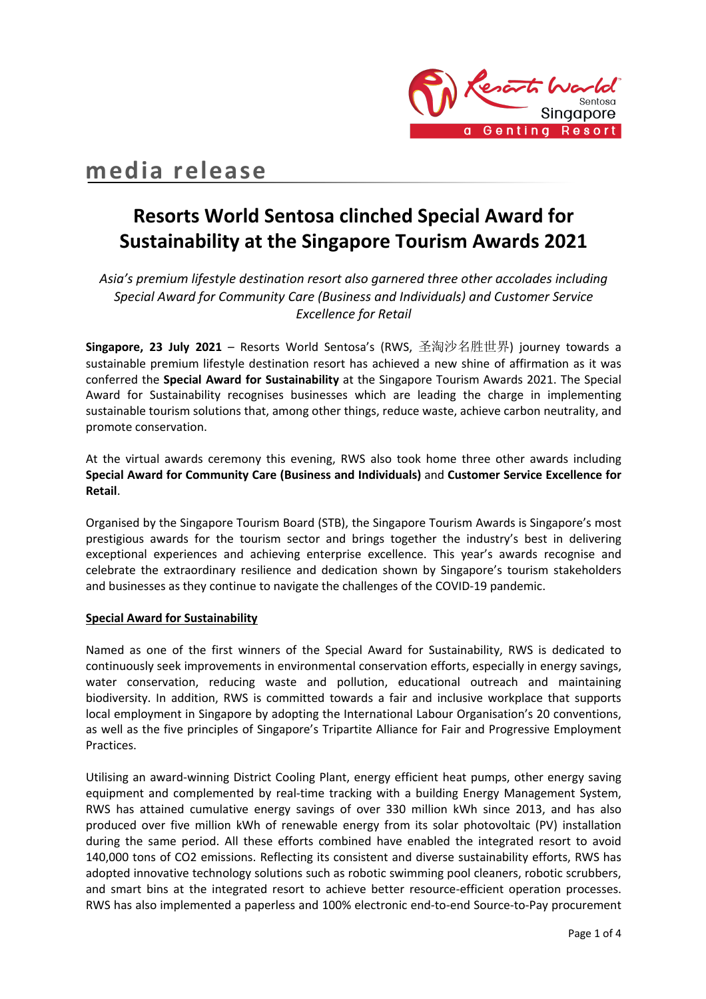

# **media release**

# **Resorts World Sentosa clinched Special Award for Sustainability at the Singapore Tourism Awards 2021**

*Asia's premium lifestyle destination resort also garnered three other accolades including Special Award for Community Care (Business and Individuals) and Customer Service Excellence for Retail*

**Singapore, 23 July 2021** – Resorts World Sentosa's (RWS, 圣淘沙名胜世界) journey towards a sustainable premium lifestyle destination resort has achieved a new shine of affirmation as it was conferred the **Special Award for Sustainability** at the Singapore Tourism Awards 2021. The Special Award for Sustainability recognises businesses which are leading the charge in implementing sustainable tourism solutions that, among other things, reduce waste, achieve carbon neutrality, and promote conservation.

At the virtual awards ceremony this evening, RWS also took home three other awards including **Special Award for Community Care (Business and Individuals)** and **Customer Service Excellence for Retail**.

Organised by the Singapore Tourism Board (STB), the Singapore Tourism Awards is Singapore's most prestigious awards for the tourism sector and brings together the industry's best in delivering exceptional experiences and achieving enterprise excellence. This year's awards recognise and celebrate the extraordinary resilience and dedication shown by Singapore's tourism stakeholders and businesses as they continue to navigate the challenges of the COVID-19 pandemic.

## **Special Award for Sustainability**

Named as one of the first winners of the Special Award for Sustainability, RWS is dedicated to continuously seek improvements in environmental conservation efforts, especially in energy savings, water conservation, reducing waste and pollution, educational outreach and maintaining biodiversity. In addition, RWS is committed towards a fair and inclusive workplace that supports local employment in Singapore by adopting the International Labour Organisation's 20 conventions, as well as the five principles of Singapore's Tripartite Alliance for Fair and Progressive Employment Practices.

Utilising an award-winning District Cooling Plant, energy efficient heat pumps, other energy saving equipment and complemented by real-time tracking with a building Energy Management System, RWS has attained cumulative energy savings of over 330 million kWh since 2013, and has also produced over five million kWh of renewable energy from its solar photovoltaic (PV) installation during the same period. All these efforts combined have enabled the integrated resort to avoid 140,000 tons of CO2 emissions. Reflecting its consistent and diverse sustainability efforts, RWS has adopted innovative technology solutions such as robotic swimming pool cleaners, robotic scrubbers, and smart bins at the integrated resort to achieve better resource-efficient operation processes. RWS has also implemented a paperless and 100% electronic end-to-end Source-to-Pay procurement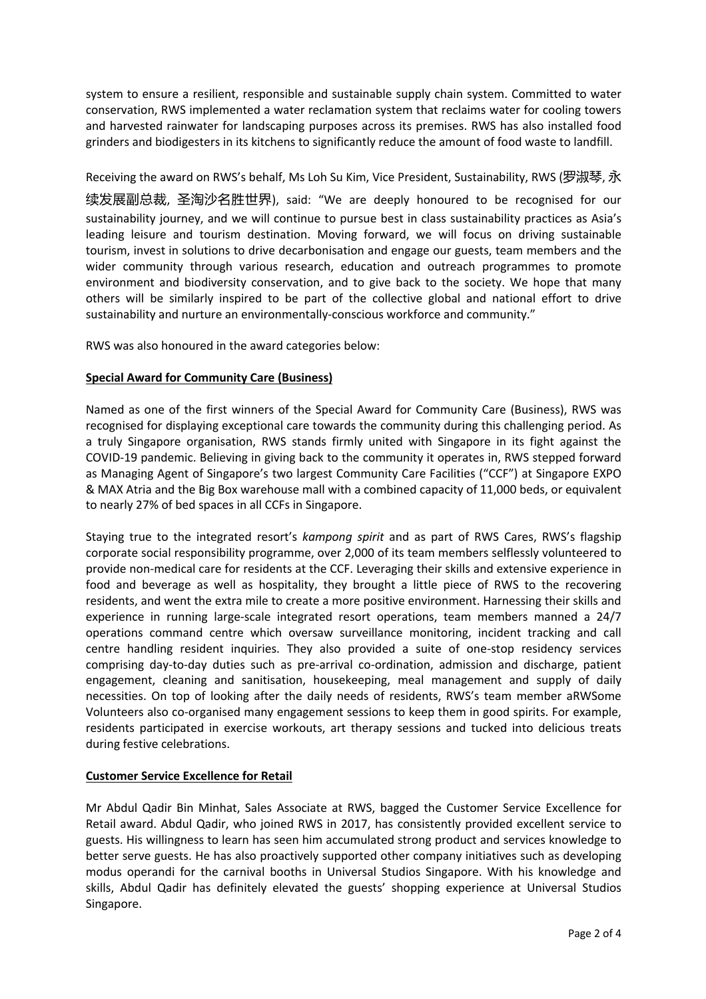system to ensure a resilient, responsible and sustainable supply chain system. Committed to water conservation, RWS implemented a water reclamation system that reclaims water for cooling towers and harvested rainwater for landscaping purposes across its premises. RWS has also installed food grinders and biodigesters in its kitchens to significantly reduce the amount of food waste to landfill.

## Receiving the award on RWS's behalf, Ms Loh Su Kim, Vice President, Sustainability, RWS (罗淑琴, 永

续发展副总裁, 圣淘沙名胜世界), said: "We are deeply honoured to be recognised for our sustainability journey, and we will continue to pursue best in class sustainability practices as Asia's leading leisure and tourism destination. Moving forward, we will focus on driving sustainable tourism, invest in solutions to drive decarbonisation and engage our guests, team members and the wider community through various research, education and outreach programmes to promote environment and biodiversity conservation, and to give back to the society. We hope that many others will be similarly inspired to be part of the collective global and national effort to drive sustainability and nurture an environmentally-conscious workforce and community."

RWS was also honoured in the award categories below:

### **Special Award for Community Care (Business)**

Named as one of the first winners of the Special Award for Community Care (Business), RWS was recognised for displaying exceptional care towards the community during this challenging period. As a truly Singapore organisation, RWS stands firmly united with Singapore in its fight against the COVID-19 pandemic. Believing in giving back to the community it operates in, RWS stepped forward as Managing Agent of Singapore's two largest Community Care Facilities ("CCF") at Singapore EXPO & MAX Atria and the Big Box warehouse mall with a combined capacity of 11,000 beds, or equivalent to nearly 27% of bed spaces in all CCFs in Singapore.

Staying true to the integrated resort's *kampong spirit* and as part of RWS Cares, RWS's flagship corporate social responsibility programme, over 2,000 of its team members selflessly volunteered to provide non-medical care for residents at the CCF. Leveraging their skills and extensive experience in food and beverage as well as hospitality, they brought a little piece of RWS to the recovering residents, and went the extra mile to create a more positive environment. Harnessing their skills and experience in running large-scale integrated resort operations, team members manned a 24/7 operations command centre which oversaw surveillance monitoring, incident tracking and call centre handling resident inquiries. They also provided a suite of one-stop residency services comprising day-to-day duties such as pre-arrival co-ordination, admission and discharge, patient engagement, cleaning and sanitisation, housekeeping, meal management and supply of daily necessities. On top of looking after the daily needs of residents, RWS's team member aRWSome Volunteers also co-organised many engagement sessions to keep them in good spirits. For example, residents participated in exercise workouts, art therapy sessions and tucked into delicious treats during festive celebrations.

### **Customer Service Excellence for Retail**

Mr Abdul Qadir Bin Minhat, Sales Associate at RWS, bagged the Customer Service Excellence for Retail award. Abdul Qadir, who joined RWS in 2017, has consistently provided excellent service to guests. His willingness to learn has seen him accumulated strong product and services knowledge to better serve guests. He has also proactively supported other company initiatives such as developing modus operandi for the carnival booths in Universal Studios Singapore. With his knowledge and skills, Abdul Qadir has definitely elevated the guests' shopping experience at Universal Studios Singapore.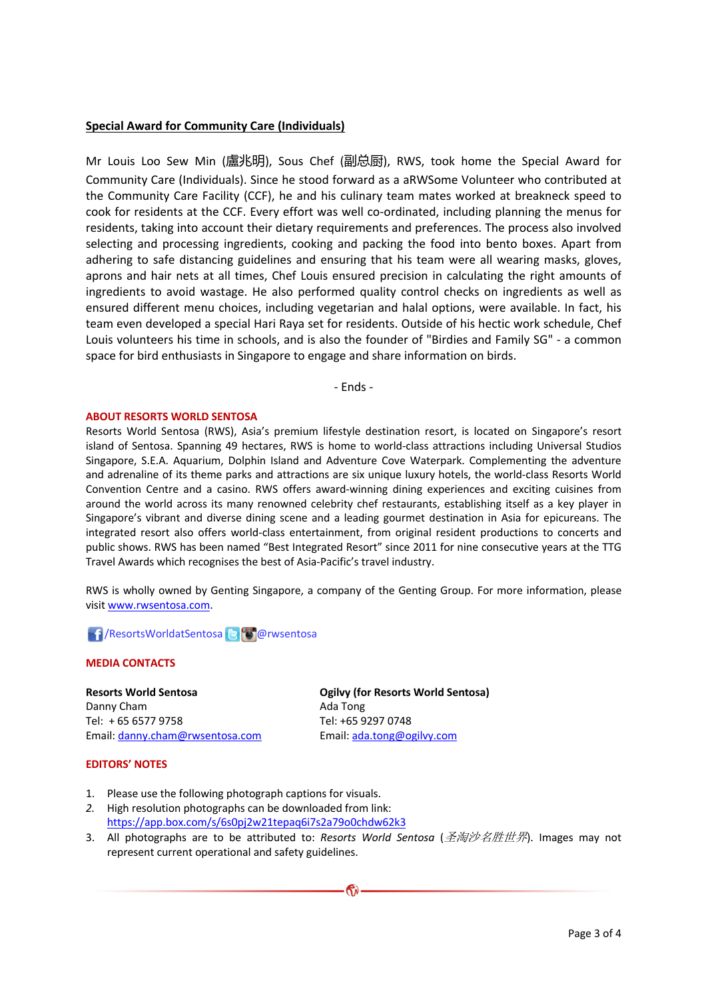#### **Special Award for Community Care (Individuals)**

Mr Louis Loo Sew Min (盧兆明), Sous Chef (副总厨), RWS, took home the Special Award for Community Care (Individuals). Since he stood forward as a aRWSome Volunteer who contributed at the Community Care Facility (CCF), he and his culinary team mates worked at breakneck speed to cook for residents at the CCF. Every effort was well co-ordinated, including planning the menus for residents, taking into account their dietary requirements and preferences. The process also involved selecting and processing ingredients, cooking and packing the food into bento boxes. Apart from adhering to safe distancing guidelines and ensuring that his team were all wearing masks, gloves, aprons and hair nets at all times, Chef Louis ensured precision in calculating the right amounts of ingredients to avoid wastage. He also performed quality control checks on ingredients as well as ensured different menu choices, including vegetarian and halal options, were available. In fact, his team even developed a special Hari Raya set for residents. Outside of his hectic work schedule, Chef Louis volunteers his time in schools, and is also the founder of "Birdies and Family SG" - a common space for bird enthusiasts in Singapore to engage and share information on birds.

- Ends -

#### **ABOUT RESORTS WORLD SENTOSA**

Resorts World Sentosa (RWS), Asia's premium lifestyle destination resort, is located on Singapore's resort island of Sentosa. Spanning 49 hectares, RWS is home to world-class attractions including Universal Studios Singapore, S.E.A. Aquarium, Dolphin Island and Adventure Cove Waterpark. Complementing the adventure and adrenaline of its theme parks and attractions are six unique luxury hotels, the world-class Resorts World Convention Centre and a casino. RWS offers award-winning dining experiences and exciting cuisines from around the world across its many renowned celebrity chef restaurants, establishing itself as a key player in Singapore's vibrant and diverse dining scene and a leading gourmet destination in Asia for epicureans. The integrated resort also offers world-class entertainment, from original resident productions to concerts and public shows. RWS has been named "Best Integrated Resort" since 2011 for nine consecutive years at the TTG Travel Awards which recognises the best of Asia-Pacific's travel industry.

RWS is wholly owned by Genting Singapore, a company of the Genting Group. For more information, please visit www.rwsentosa.com.

## **1 / ResortsWorldatSentosa & @**rwsentosa

#### **MEDIA CONTACTS**

**Resorts World Sentosa** Danny Cham Tel: + 65 6577 9758 Email: danny.cham@rwsentosa.com **Ogilvy (for Resorts World Sentosa)** Ada Tong Tel: +65 9297 0748 Email: ada.tong@ogilvy.com

#### **EDITORS' NOTES**

- 1. Please use the following photograph captions for visuals.
- *2.* High resolution photographs can be downloaded from link: https://app.box.com/s/6s0pj2w21tepaq6i7s2a79o0chdw62k3
- 3. All photographs are to be attributed to: *Resorts World Sentosa* (圣淘沙名胜世界). Images may not represent current operational and safety guidelines.